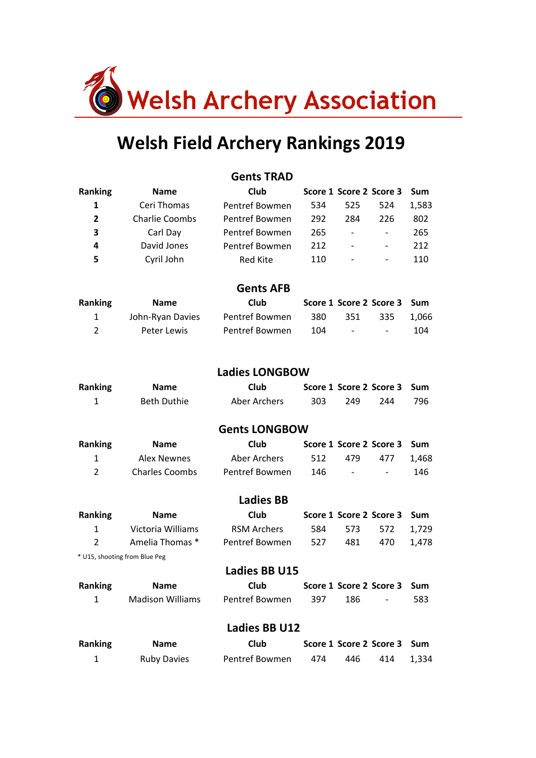

# Welsh Field Archery Rankings 2019

|                |                               | <b>Gents TRAD</b>     |     |                          |                         |            |
|----------------|-------------------------------|-----------------------|-----|--------------------------|-------------------------|------------|
| <b>Ranking</b> | <b>Name</b>                   | Club                  |     |                          | Score 1 Score 2 Score 3 | <b>Sum</b> |
| $\mathbf{1}$   | Ceri Thomas                   | Pentref Bowmen        | 534 | 525                      | 524                     | 1,583      |
| $\overline{2}$ | <b>Charlie Coombs</b>         | Pentref Bowmen        | 292 | 284                      | 226                     | 802        |
| 3              | Carl Day                      | Pentref Bowmen        | 265 | $\overline{\phantom{a}}$ | -                       | 265        |
| 4              | David Jones                   | Pentref Bowmen        | 212 |                          |                         | 212        |
| 5              | Cyril John                    | <b>Red Kite</b>       | 110 |                          |                         | 110        |
|                |                               | <b>Gents AFB</b>      |     |                          |                         |            |
| <b>Ranking</b> | <b>Name</b>                   | Club                  |     |                          | Score 1 Score 2 Score 3 | Sum        |
| 1              | John-Ryan Davies              | Pentref Bowmen        | 380 | 351                      | 335                     | 1,066      |
| $\overline{2}$ | <b>Peter Lewis</b>            | Pentref Bowmen        | 104 |                          |                         | 104        |
|                |                               | <b>Ladies LONGBOW</b> |     |                          |                         |            |
| <b>Ranking</b> | <b>Name</b>                   | Club                  |     |                          | Score 1 Score 2 Score 3 | Sum        |
| $\mathbf{1}$   | <b>Beth Duthie</b>            | <b>Aber Archers</b>   | 303 | 249                      | 244                     | 796        |
|                |                               | <b>Gents LONGBOW</b>  |     |                          |                         |            |
| <b>Ranking</b> | <b>Name</b>                   | Club                  |     |                          | Score 1 Score 2 Score 3 | <b>Sum</b> |
| $\mathbf{1}$   | <b>Alex Newnes</b>            | <b>Aber Archers</b>   | 512 | 479                      | 477                     | 1,468      |
| $\overline{2}$ | <b>Charles Coombs</b>         | Pentref Bowmen        | 146 |                          |                         | 146        |
|                |                               | <b>Ladies BB</b>      |     |                          |                         |            |
| Ranking        | <b>Name</b>                   | Club                  |     |                          | Score 1 Score 2 Score 3 | <b>Sum</b> |
| $\mathbf{1}$   | Victoria Williams             | <b>RSM Archers</b>    | 584 | 573                      | 572                     | 1,729      |
| $\overline{2}$ | Amelia Thomas *               | Pentref Bowmen        | 527 | 481                      | 470                     | 1,478      |
|                | * U15, shooting from Blue Peg |                       |     |                          |                         |            |
|                |                               | <b>Ladies BB U15</b>  |     |                          |                         |            |
| Ranking        | <b>Name</b>                   | <b>Club</b>           |     |                          | Score 1 Score 2 Score 3 | Sum        |
| $\mathbf{1}$   | <b>Madison Williams</b>       | Pentref Bowmen        | 397 | 186                      |                         | 583        |
|                |                               | <b>Ladies BB U12</b>  |     |                          |                         |            |
| Ranking        | <b>Name</b>                   | <b>Club</b>           |     |                          | Score 1 Score 2 Score 3 | Sum        |
| $\mathbf{1}$   | <b>Ruby Davies</b>            | Pentref Bowmen        | 474 | 446                      | 414                     | 1,334      |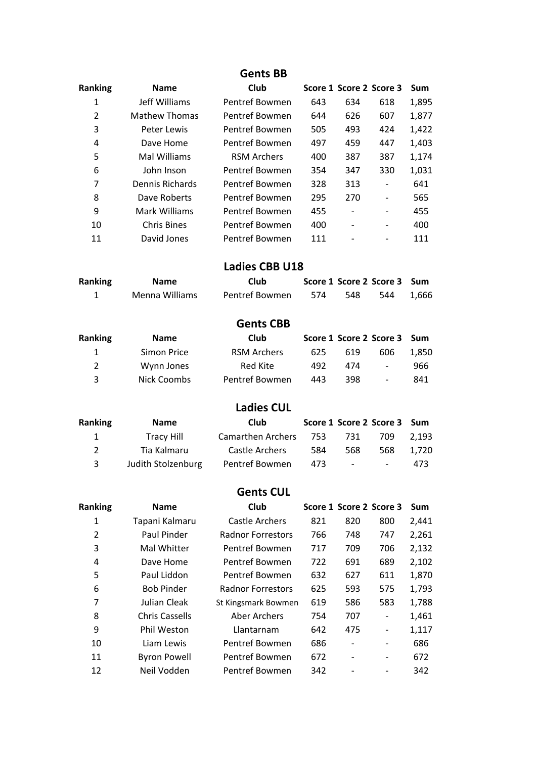#### Gents **BB**

| <b>Name</b>        | Club               |     |                          |     | Sum                     |
|--------------------|--------------------|-----|--------------------------|-----|-------------------------|
| Jeff Williams      | Pentref Bowmen     | 643 | 634                      | 618 | 1,895                   |
| Mathew Thomas      | Pentref Bowmen     | 644 | 626                      | 607 | 1,877                   |
| Peter Lewis        | Pentref Bowmen     | 505 | 493                      | 424 | 1,422                   |
| Dave Home          | Pentref Bowmen     | 497 | 459                      | 447 | 1,403                   |
| Mal Williams       | <b>RSM Archers</b> | 400 | 387                      | 387 | 1,174                   |
| John Inson         | Pentref Bowmen     | 354 | 347                      | 330 | 1,031                   |
| Dennis Richards    | Pentref Bowmen     | 328 | 313                      |     | 641                     |
| Dave Roberts       | Pentref Bowmen     | 295 | 270                      |     | 565                     |
| Mark Williams      | Pentref Bowmen     | 455 |                          | -   | 455                     |
| <b>Chris Bines</b> | Pentref Bowmen     | 400 | $\overline{\phantom{a}}$ | -   | 400                     |
| David Jones        | Pentref Bowmen     | 111 |                          |     | 111                     |
|                    |                    |     |                          |     | Score 1 Score 2 Score 3 |

#### Ladies CBB U18

| Ranking | <b>Name</b>    | Club           |     |       | Score 1 Score 2 Score 3 Sum |  |
|---------|----------------|----------------|-----|-------|-----------------------------|--|
|         | Menna Williams | Pentref Bowmen | 574 | - 548 | 544  1.666                  |  |

### Gents CBB

| Ranking        | <b>Name</b> | <b>Club</b>        |     |      | Score 1 Score 2 Score 3 Sum |       |
|----------------|-------------|--------------------|-----|------|-----------------------------|-------|
|                | Simon Price | <b>RSM Archers</b> | 625 | 619  | 606                         | 1.850 |
| $\overline{2}$ | Wynn Jones  | Red Kite           | 492 | 474  | $\sim$                      | 966   |
| ર              | Nick Coombs | Pentref Bowmen     | 443 | 398. | $\sim$                      | 841   |

#### **Ladies CUL**

| Ranking | <b>Name</b>        | Club                  |     |                | Score 1 Score 2 Score 3 Sum |       |
|---------|--------------------|-----------------------|-----|----------------|-----------------------------|-------|
| 1       | <b>Tracy Hill</b>  | Camarthen Archers 753 |     | 731            | 709                         | 2.193 |
| 2       | Tia Kalmaru        | Castle Archers        | 584 | 568            | 568                         | 1.720 |
| 3       | Judith Stolzenburg | Pentref Bowmen        | 473 | <b>Service</b> | $\sim$                      | 473   |

## **Gents CUL**

| <b>Ranking</b> | <b>Name</b>           | Club                     |     |     | Score 1 Score 2 Score 3 | <b>Sum</b> |
|----------------|-----------------------|--------------------------|-----|-----|-------------------------|------------|
| 1              | Tapani Kalmaru        | Castle Archers           | 821 | 820 | 800                     | 2,441      |
| $\overline{2}$ | Paul Pinder           | <b>Radnor Forrestors</b> | 766 | 748 | 747                     | 2,261      |
| 3              | Mal Whitter           | Pentref Bowmen           | 717 | 709 | 706                     | 2,132      |
| 4              | Dave Home             | Pentref Bowmen           | 722 | 691 | 689                     | 2,102      |
| 5              | Paul Liddon           | Pentref Bowmen           | 632 | 627 | 611                     | 1,870      |
| 6              | <b>Bob Pinder</b>     | <b>Radnor Forrestors</b> | 625 | 593 | 575                     | 1,793      |
| 7              | Julian Cleak          | St Kingsmark Bowmen      | 619 | 586 | 583                     | 1,788      |
| 8              | <b>Chris Cassells</b> | Aber Archers             | 754 | 707 | -                       | 1,461      |
| 9              | Phil Weston           | Llantarnam               | 642 | 475 | -                       | 1,117      |
| 10             | Liam Lewis            | Pentref Bowmen           | 686 |     |                         | 686        |
| 11             | <b>Byron Powell</b>   | Pentref Bowmen           | 672 |     |                         | 672        |
| 12             | Neil Vodden           | Pentref Bowmen           | 342 |     |                         | 342        |
|                |                       |                          |     |     |                         |            |